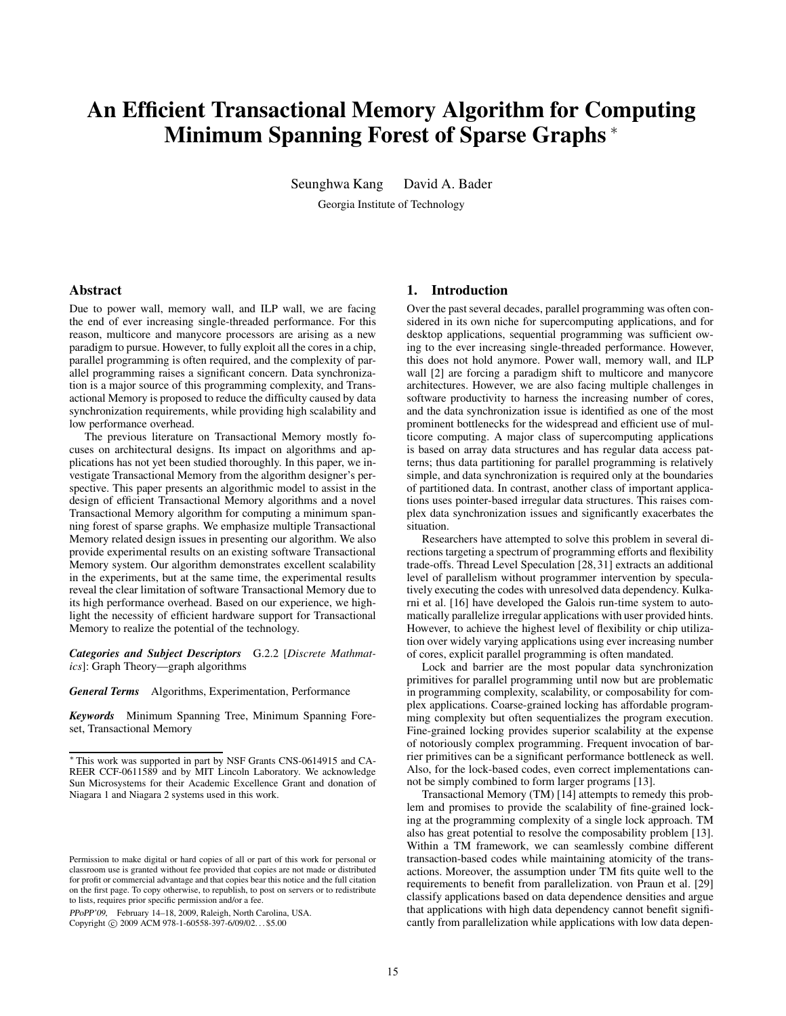# **An Efficient Transactional Memory Algorithm for Computing Minimum Spanning Forest of Sparse Graphs** <sup>∗</sup>

Seunghwa Kang David A. Bader

Georgia Institute of Technology

## **Abstract**

Due to power wall, memory wall, and ILP wall, we are facing the end of ever increasing single-threaded performance. For this reason, multicore and manycore processors are arising as a new paradigm to pursue. However, to fully exploit all the cores in a chip, parallel programming is often required, and the complexity of parallel programming raises a significant concern. Data synchronization is a major source of this programming complexity, and Transactional Memory is proposed to reduce the difficulty caused by data synchronization requirements, while providing high scalability and low performance overhead.

The previous literature on Transactional Memory mostly focuses on architectural designs. Its impact on algorithms and applications has not yet been studied thoroughly. In this paper, we investigate Transactional Memory from the algorithm designer's perspective. This paper presents an algorithmic model to assist in the design of efficient Transactional Memory algorithms and a novel Transactional Memory algorithm for computing a minimum spanning forest of sparse graphs. We emphasize multiple Transactional Memory related design issues in presenting our algorithm. We also provide experimental results on an existing software Transactional Memory system. Our algorithm demonstrates excellent scalability in the experiments, but at the same time, the experimental results reveal the clear limitation of software Transactional Memory due to its high performance overhead. Based on our experience, we highlight the necessity of efficient hardware support for Transactional Memory to realize the potential of the technology.

*Categories and Subject Descriptors* G.2.2 [*Discrete Mathmatics*]: Graph Theory—graph algorithms

*General Terms* Algorithms, Experimentation, Performance

*Keywords* Minimum Spanning Tree, Minimum Spanning Foreset, Transactional Memory

PPoPP'09, February 14–18, 2009, Raleigh, North Carolina, USA. Copyright © 2009 ACM 978-1-60558-397-6/09/02... \$5.00

#### **1. Introduction**

Over the past several decades, parallel programming was often considered in its own niche for supercomputing applications, and for desktop applications, sequential programming was sufficient owing to the ever increasing single-threaded performance. However, this does not hold anymore. Power wall, memory wall, and ILP wall [2] are forcing a paradigm shift to multicore and manycore architectures. However, we are also facing multiple challenges in software productivity to harness the increasing number of cores, and the data synchronization issue is identified as one of the most prominent bottlenecks for the widespread and efficient use of multicore computing. A major class of supercomputing applications is based on array data structures and has regular data access patterns; thus data partitioning for parallel programming is relatively simple, and data synchronization is required only at the boundaries of partitioned data. In contrast, another class of important applications uses pointer-based irregular data structures. This raises complex data synchronization issues and significantly exacerbates the situation.

Researchers have attempted to solve this problem in several directions targeting a spectrum of programming efforts and flexibility trade-offs. Thread Level Speculation [28, 31] extracts an additional level of parallelism without programmer intervention by speculatively executing the codes with unresolved data dependency. Kulkarni et al. [16] have developed the Galois run-time system to automatically parallelize irregular applications with user provided hints. However, to achieve the highest level of flexibility or chip utilization over widely varying applications using ever increasing number of cores, explicit parallel programming is often mandated.

Lock and barrier are the most popular data synchronization primitives for parallel programming until now but are problematic in programming complexity, scalability, or composability for complex applications. Coarse-grained locking has affordable programming complexity but often sequentializes the program execution. Fine-grained locking provides superior scalability at the expense of notoriously complex programming. Frequent invocation of barrier primitives can be a significant performance bottleneck as well. Also, for the lock-based codes, even correct implementations cannot be simply combined to form larger programs [13].

Transactional Memory (TM) [14] attempts to remedy this problem and promises to provide the scalability of fine-grained locking at the programming complexity of a single lock approach. TM also has great potential to resolve the composability problem [13]. Within a TM framework, we can seamlessly combine different transaction-based codes while maintaining atomicity of the transactions. Moreover, the assumption under TM fits quite well to the requirements to benefit from parallelization. von Praun et al. [29] classify applications based on data dependence densities and argue that applications with high data dependency cannot benefit significantly from parallelization while applications with low data depen-

<sup>∗</sup> This work was supported in part by NSF Grants CNS-0614915 and CA-REER CCF-0611589 and by MIT Lincoln Laboratory. We acknowledge Sun Microsystems for their Academic Excellence Grant and donation of Niagara 1 and Niagara 2 systems used in this work.

Permission to make digital or hard copies of all or part of this work for personal or classroom use is granted without fee provided that copies are not made or distributed for profit or commercial advantage and that copies bear this notice and the full citation on the first page. To copy otherwise, to republish, to post on servers or to redistribute to lists, requires prior specific permission and/or a fee.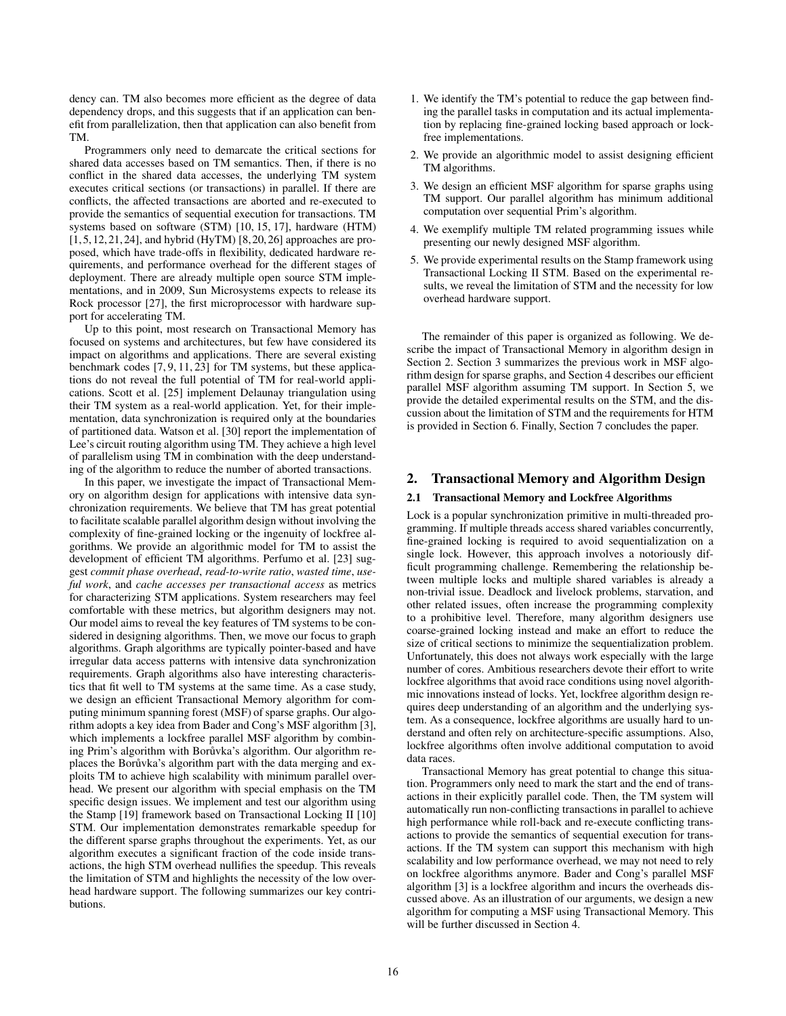dency can. TM also becomes more efficient as the degree of data dependency drops, and this suggests that if an application can benefit from parallelization, then that application can also benefit from TM.

Programmers only need to demarcate the critical sections for shared data accesses based on TM semantics. Then, if there is no conflict in the shared data accesses, the underlying TM system executes critical sections (or transactions) in parallel. If there are conflicts, the affected transactions are aborted and re-executed to provide the semantics of sequential execution for transactions. TM systems based on software (STM) [10, 15, 17], hardware (HTM) [1, 5, 12, 21, 24], and hybrid (HyTM) [8, 20, 26] approaches are proposed, which have trade-offs in flexibility, dedicated hardware requirements, and performance overhead for the different stages of deployment. There are already multiple open source STM implementations, and in 2009, Sun Microsystems expects to release its Rock processor [27], the first microprocessor with hardware support for accelerating TM.

Up to this point, most research on Transactional Memory has focused on systems and architectures, but few have considered its impact on algorithms and applications. There are several existing benchmark codes [7, 9, 11, 23] for TM systems, but these applications do not reveal the full potential of TM for real-world applications. Scott et al. [25] implement Delaunay triangulation using their TM system as a real-world application. Yet, for their implementation, data synchronization is required only at the boundaries of partitioned data. Watson et al. [30] report the implementation of Lee's circuit routing algorithm using TM. They achieve a high level of parallelism using TM in combination with the deep understanding of the algorithm to reduce the number of aborted transactions.

In this paper, we investigate the impact of Transactional Memory on algorithm design for applications with intensive data synchronization requirements. We believe that TM has great potential to facilitate scalable parallel algorithm design without involving the complexity of fine-grained locking or the ingenuity of lockfree algorithms. We provide an algorithmic model for TM to assist the development of efficient TM algorithms. Perfumo et al. [23] suggest *commit phase overhead*, *read-to-write ratio*, *wasted time*, *useful work*, and *cache accesses per transactional access* as metrics for characterizing STM applications. System researchers may feel comfortable with these metrics, but algorithm designers may not. Our model aims to reveal the key features of TM systems to be considered in designing algorithms. Then, we move our focus to graph algorithms. Graph algorithms are typically pointer-based and have irregular data access patterns with intensive data synchronization requirements. Graph algorithms also have interesting characteristics that fit well to TM systems at the same time. As a case study, we design an efficient Transactional Memory algorithm for computing minimum spanning forest (MSF) of sparse graphs. Our algorithm adopts a key idea from Bader and Cong's MSF algorithm [3], which implements a lockfree parallel MSF algorithm by combining Prim's algorithm with Borůvka's algorithm. Our algorithm replaces the Borůvka's algorithm part with the data merging and exploits TM to achieve high scalability with minimum parallel overhead. We present our algorithm with special emphasis on the TM specific design issues. We implement and test our algorithm using the Stamp [19] framework based on Transactional Locking II [10] STM. Our implementation demonstrates remarkable speedup for the different sparse graphs throughout the experiments. Yet, as our algorithm executes a significant fraction of the code inside transactions, the high STM overhead nullifies the speedup. This reveals the limitation of STM and highlights the necessity of the low overhead hardware support. The following summarizes our key contributions.

- 1. We identify the TM's potential to reduce the gap between finding the parallel tasks in computation and its actual implementation by replacing fine-grained locking based approach or lockfree implementations.
- 2. We provide an algorithmic model to assist designing efficient TM algorithms.
- 3. We design an efficient MSF algorithm for sparse graphs using TM support. Our parallel algorithm has minimum additional computation over sequential Prim's algorithm.
- 4. We exemplify multiple TM related programming issues while presenting our newly designed MSF algorithm.
- 5. We provide experimental results on the Stamp framework using Transactional Locking II STM. Based on the experimental results, we reveal the limitation of STM and the necessity for low overhead hardware support.

The remainder of this paper is organized as following. We describe the impact of Transactional Memory in algorithm design in Section 2. Section 3 summarizes the previous work in MSF algorithm design for sparse graphs, and Section 4 describes our efficient parallel MSF algorithm assuming TM support. In Section 5, we provide the detailed experimental results on the STM, and the discussion about the limitation of STM and the requirements for HTM is provided in Section 6. Finally, Section 7 concludes the paper.

# **2. Transactional Memory and Algorithm Design**

#### **2.1 Transactional Memory and Lockfree Algorithms**

Lock is a popular synchronization primitive in multi-threaded programming. If multiple threads access shared variables concurrently, fine-grained locking is required to avoid sequentialization on a single lock. However, this approach involves a notoriously difficult programming challenge. Remembering the relationship between multiple locks and multiple shared variables is already a non-trivial issue. Deadlock and livelock problems, starvation, and other related issues, often increase the programming complexity to a prohibitive level. Therefore, many algorithm designers use coarse-grained locking instead and make an effort to reduce the size of critical sections to minimize the sequentialization problem. Unfortunately, this does not always work especially with the large number of cores. Ambitious researchers devote their effort to write lockfree algorithms that avoid race conditions using novel algorithmic innovations instead of locks. Yet, lockfree algorithm design requires deep understanding of an algorithm and the underlying system. As a consequence, lockfree algorithms are usually hard to understand and often rely on architecture-specific assumptions. Also, lockfree algorithms often involve additional computation to avoid data races.

Transactional Memory has great potential to change this situation. Programmers only need to mark the start and the end of transactions in their explicitly parallel code. Then, the TM system will automatically run non-conflicting transactions in parallel to achieve high performance while roll-back and re-execute conflicting transactions to provide the semantics of sequential execution for transactions. If the TM system can support this mechanism with high scalability and low performance overhead, we may not need to rely on lockfree algorithms anymore. Bader and Cong's parallel MSF algorithm [3] is a lockfree algorithm and incurs the overheads discussed above. As an illustration of our arguments, we design a new algorithm for computing a MSF using Transactional Memory. This will be further discussed in Section 4.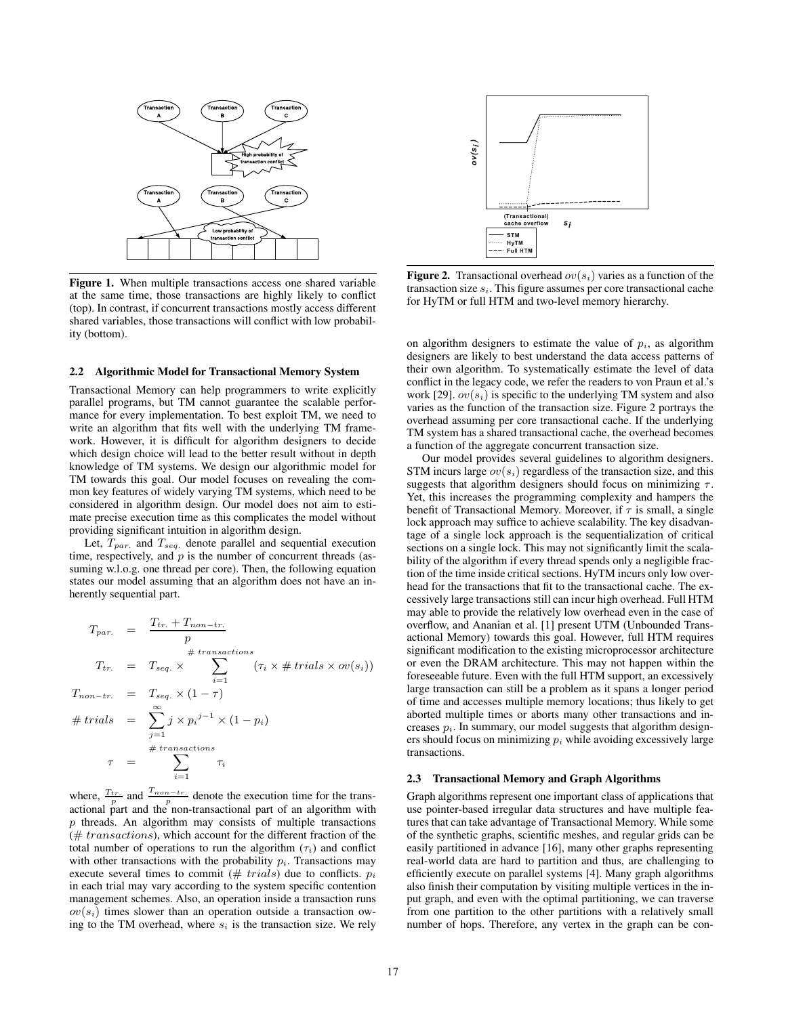

**Figure 1.** When multiple transactions access one shared variable at the same time, those transactions are highly likely to conflict (top). In contrast, if concurrent transactions mostly access different shared variables, those transactions will conflict with low probability (bottom).

#### **2.2 Algorithmic Model for Transactional Memory System**

Transactional Memory can help programmers to write explicitly parallel programs, but TM cannot guarantee the scalable performance for every implementation. To best exploit TM, we need to write an algorithm that fits well with the underlying TM framework. However, it is difficult for algorithm designers to decide which design choice will lead to the better result without in depth knowledge of TM systems. We design our algorithmic model for TM towards this goal. Our model focuses on revealing the common key features of widely varying TM systems, which need to be considered in algorithm design. Our model does not aim to estimate precise execution time as this complicates the model without providing significant intuition in algorithm design.

Let, T*par.* and T*seq.* denote parallel and sequential execution time, respectively, and  $p$  is the number of concurrent threads (assuming w.l.o.g. one thread per core). Then, the following equation states our model assuming that an algorithm does not have an inherently sequential part.

$$
T_{par.} = \frac{T_{tr.} + T_{non-tr.}}{p}
$$
  
\n
$$
T_{tr.} = T_{seq.} \times \sum_{i=1}^{# \text{ transactions}} (\tau_i \times \# \text{ trials} \times \text{ov}(s_i))
$$
  
\n
$$
T_{non-tr.} = T_{seq.} \times (1 - \tau)
$$
  
\n
$$
\# \text{ trials} = \sum_{j=1}^{\infty} j \times p_i^{j-1} \times (1 - p_i)
$$
  
\n
$$
\tau = \sum_{i=1}^{# \text{ transactions}} \tau_i
$$

where,  $\frac{T_{tr.}}{p}$  and  $\frac{T_{non-tr.}}{p}$  denote the execution time for the transactional part and the non-transactional part of an algorithm with  $p$  threads. An algorithm may consists of multiple transactions  $(\# \ transactions)$ , which account for the different fraction of the total number of operations to run the algorithm  $(\tau_i)$  and conflict with other transactions with the probability  $p_i$ . Transactions may execute several times to commit  $(\# \ trials)$  due to conflicts.  $p_i$ in each trial may vary according to the system specific contention management schemes. Also, an operation inside a transaction runs  $ov(s<sub>i</sub>)$  times slower than an operation outside a transaction owing to the TM overhead, where s*<sup>i</sup>* is the transaction size. We rely



**Figure 2.** Transactional overhead  $ov(s_i)$  varies as a function of the transaction size s*i*. This figure assumes per core transactional cache for HyTM or full HTM and two-level memory hierarchy.

on algorithm designers to estimate the value of  $p_i$ , as algorithm designers are likely to best understand the data access patterns of their own algorithm. To systematically estimate the level of data conflict in the legacy code, we refer the readers to von Praun et al.'s work [29].  $ov(s_i)$  is specific to the underlying TM system and also varies as the function of the transaction size. Figure 2 portrays the overhead assuming per core transactional cache. If the underlying TM system has a shared transactional cache, the overhead becomes a function of the aggregate concurrent transaction size.

Our model provides several guidelines to algorithm designers. STM incurs large  $ov(s_i)$  regardless of the transaction size, and this suggests that algorithm designers should focus on minimizing  $\tau$ . Yet, this increases the programming complexity and hampers the benefit of Transactional Memory. Moreover, if  $\tau$  is small, a single lock approach may suffice to achieve scalability. The key disadvantage of a single lock approach is the sequentialization of critical sections on a single lock. This may not significantly limit the scalability of the algorithm if every thread spends only a negligible fraction of the time inside critical sections. HyTM incurs only low overhead for the transactions that fit to the transactional cache. The excessively large transactions still can incur high overhead. Full HTM may able to provide the relatively low overhead even in the case of overflow, and Ananian et al. [1] present UTM (Unbounded Transactional Memory) towards this goal. However, full HTM requires significant modification to the existing microprocessor architecture or even the DRAM architecture. This may not happen within the foreseeable future. Even with the full HTM support, an excessively large transaction can still be a problem as it spans a longer period of time and accesses multiple memory locations; thus likely to get aborted multiple times or aborts many other transactions and increases p*i*. In summary, our model suggests that algorithm designers should focus on minimizing p*<sup>i</sup>* while avoiding excessively large transactions.

#### **2.3 Transactional Memory and Graph Algorithms**

Graph algorithms represent one important class of applications that use pointer-based irregular data structures and have multiple features that can take advantage of Transactional Memory. While some of the synthetic graphs, scientific meshes, and regular grids can be easily partitioned in advance [16], many other graphs representing real-world data are hard to partition and thus, are challenging to efficiently execute on parallel systems [4]. Many graph algorithms also finish their computation by visiting multiple vertices in the input graph, and even with the optimal partitioning, we can traverse from one partition to the other partitions with a relatively small number of hops. Therefore, any vertex in the graph can be con-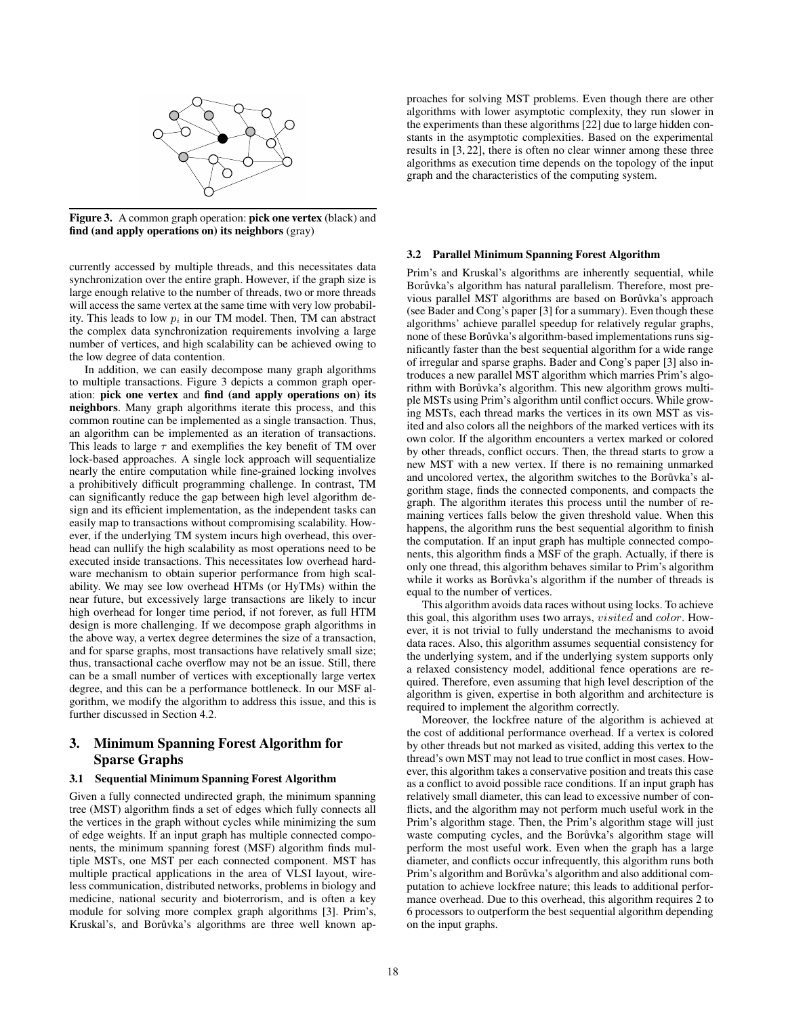

**Figure 3.** A common graph operation: **pick one vertex** (black) and **find (and apply operations on) its neighbors** (gray)

currently accessed by multiple threads, and this necessitates data synchronization over the entire graph. However, if the graph size is large enough relative to the number of threads, two or more threads will access the same vertex at the same time with very low probability. This leads to low p*<sup>i</sup>* in our TM model. Then, TM can abstract the complex data synchronization requirements involving a large number of vertices, and high scalability can be achieved owing to the low degree of data contention.

In addition, we can easily decompose many graph algorithms to multiple transactions. Figure 3 depicts a common graph operation: **pick one vertex** and **find (and apply operations on) its neighbors**. Many graph algorithms iterate this process, and this common routine can be implemented as a single transaction. Thus, an algorithm can be implemented as an iteration of transactions. This leads to large  $\tau$  and exemplifies the key benefit of TM over lock-based approaches. A single lock approach will sequentialize nearly the entire computation while fine-grained locking involves a prohibitively difficult programming challenge. In contrast, TM can significantly reduce the gap between high level algorithm design and its efficient implementation, as the independent tasks can easily map to transactions without compromising scalability. However, if the underlying TM system incurs high overhead, this overhead can nullify the high scalability as most operations need to be executed inside transactions. This necessitates low overhead hardware mechanism to obtain superior performance from high scalability. We may see low overhead HTMs (or HyTMs) within the near future, but excessively large transactions are likely to incur high overhead for longer time period, if not forever, as full HTM design is more challenging. If we decompose graph algorithms in the above way, a vertex degree determines the size of a transaction, and for sparse graphs, most transactions have relatively small size; thus, transactional cache overflow may not be an issue. Still, there can be a small number of vertices with exceptionally large vertex degree, and this can be a performance bottleneck. In our MSF algorithm, we modify the algorithm to address this issue, and this is further discussed in Section 4.2.

# **3. Minimum Spanning Forest Algorithm for Sparse Graphs**

#### **3.1 Sequential Minimum Spanning Forest Algorithm**

Given a fully connected undirected graph, the minimum spanning tree (MST) algorithm finds a set of edges which fully connects all the vertices in the graph without cycles while minimizing the sum of edge weights. If an input graph has multiple connected components, the minimum spanning forest (MSF) algorithm finds multiple MSTs, one MST per each connected component. MST has multiple practical applications in the area of VLSI layout, wireless communication, distributed networks, problems in biology and medicine, national security and bioterrorism, and is often a key module for solving more complex graph algorithms [3]. Prim's, Kruskal's, and Borůvka's algorithms are three well known approaches for solving MST problems. Even though there are other algorithms with lower asymptotic complexity, they run slower in the experiments than these algorithms [22] due to large hidden constants in the asymptotic complexities. Based on the experimental results in [3, 22], there is often no clear winner among these three algorithms as execution time depends on the topology of the input graph and the characteristics of the computing system.

#### **3.2 Parallel Minimum Spanning Forest Algorithm**

Prim's and Kruskal's algorithms are inherently sequential, while Borůvka's algorithm has natural parallelism. Therefore, most previous parallel MST algorithms are based on Borůvka's approach (see Bader and Cong's paper [3] for a summary). Even though these algorithms' achieve parallel speedup for relatively regular graphs, none of these Borůvka's algorithm-based implementations runs significantly faster than the best sequential algorithm for a wide range of irregular and sparse graphs. Bader and Cong's paper [3] also introduces a new parallel MST algorithm which marries Prim's algorithm with Borůvka's algorithm. This new algorithm grows multiple MSTs using Prim's algorithm until conflict occurs. While growing MSTs, each thread marks the vertices in its own MST as visited and also colors all the neighbors of the marked vertices with its own color. If the algorithm encounters a vertex marked or colored by other threads, conflict occurs. Then, the thread starts to grow a new MST with a new vertex. If there is no remaining unmarked and uncolored vertex, the algorithm switches to the Borůvka's algorithm stage, finds the connected components, and compacts the graph. The algorithm iterates this process until the number of remaining vertices falls below the given threshold value. When this happens, the algorithm runs the best sequential algorithm to finish the computation. If an input graph has multiple connected components, this algorithm finds a MSF of the graph. Actually, if there is only one thread, this algorithm behaves similar to Prim's algorithm while it works as Borůvka's algorithm if the number of threads is equal to the number of vertices.

This algorithm avoids data races without using locks. To achieve this goal, this algorithm uses two arrays, visited and color. However, it is not trivial to fully understand the mechanisms to avoid data races. Also, this algorithm assumes sequential consistency for the underlying system, and if the underlying system supports only a relaxed consistency model, additional fence operations are required. Therefore, even assuming that high level description of the algorithm is given, expertise in both algorithm and architecture is required to implement the algorithm correctly.

Moreover, the lockfree nature of the algorithm is achieved at the cost of additional performance overhead. If a vertex is colored by other threads but not marked as visited, adding this vertex to the thread's own MST may not lead to true conflict in most cases. However, this algorithm takes a conservative position and treats this case as a conflict to avoid possible race conditions. If an input graph has relatively small diameter, this can lead to excessive number of conflicts, and the algorithm may not perform much useful work in the Prim's algorithm stage. Then, the Prim's algorithm stage will just waste computing cycles, and the Borůvka's algorithm stage will perform the most useful work. Even when the graph has a large diameter, and conflicts occur infrequently, this algorithm runs both Prim's algorithm and Borůvka's algorithm and also additional computation to achieve lockfree nature; this leads to additional performance overhead. Due to this overhead, this algorithm requires 2 to 6 processors to outperform the best sequential algorithm depending on the input graphs.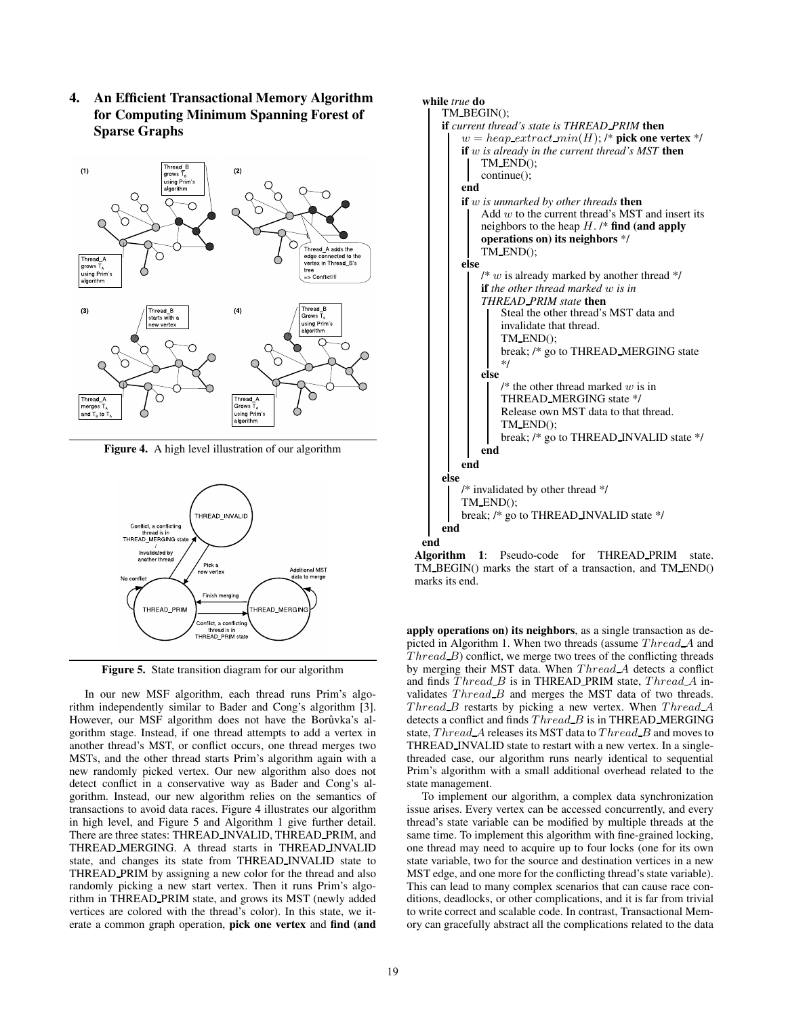**4. An Efficient Transactional Memory Algorithm for Computing Minimum Spanning Forest of Sparse Graphs**



**Figure 4.** A high level illustration of our algorithm



**Figure 5.** State transition diagram for our algorithm

In our new MSF algorithm, each thread runs Prim's algorithm independently similar to Bader and Cong's algorithm [3]. However, our MSF algorithm does not have the Borůvka's algorithm stage. Instead, if one thread attempts to add a vertex in another thread's MST, or conflict occurs, one thread merges two MSTs, and the other thread starts Prim's algorithm again with a new randomly picked vertex. Our new algorithm also does not detect conflict in a conservative way as Bader and Cong's algorithm. Instead, our new algorithm relies on the semantics of transactions to avoid data races. Figure 4 illustrates our algorithm in high level, and Figure 5 and Algorithm 1 give further detail. There are three states: THREAD INVALID, THREAD PRIM, and THREAD MERGING. A thread starts in THREAD INVALID state, and changes its state from THREAD INVALID state to THREAD PRIM by assigning a new color for the thread and also randomly picking a new start vertex. Then it runs Prim's algorithm in THREAD PRIM state, and grows its MST (newly added vertices are colored with the thread's color). In this state, we iterate a common graph operation, **pick one vertex** and **find (and**



**Algorithm 1**: Pseudo-code for THREAD PRIM state. TM BEGIN() marks the start of a transaction, and TM END() marks its end.

**apply operations on) its neighbors**, as a single transaction as depicted in Algorithm 1. When two threads (assume Thread A and  $Thread_B$ ) conflict, we merge two trees of the conflicting threads by merging their MST data. When Thread A detects a conflict and finds  $Thread\_B$  is in THREAD PRIM state,  $Thread\_A$  invalidates  $Thread\_B$  and merges the MST data of two threads.  $Thread\_B$  restarts by picking a new vertex. When  $Thread\_A$ detects a conflict and finds  $Thread\_B$  is in THREAD MERGING state,  $Thread\_A$  releases its MST data to  $Thread\_B$  and moves to THREAD INVALID state to restart with a new vertex. In a singlethreaded case, our algorithm runs nearly identical to sequential Prim's algorithm with a small additional overhead related to the state management.

To implement our algorithm, a complex data synchronization issue arises. Every vertex can be accessed concurrently, and every thread's state variable can be modified by multiple threads at the same time. To implement this algorithm with fine-grained locking, one thread may need to acquire up to four locks (one for its own state variable, two for the source and destination vertices in a new MST edge, and one more for the conflicting thread's state variable). This can lead to many complex scenarios that can cause race conditions, deadlocks, or other complications, and it is far from trivial to write correct and scalable code. In contrast, Transactional Memory can gracefully abstract all the complications related to the data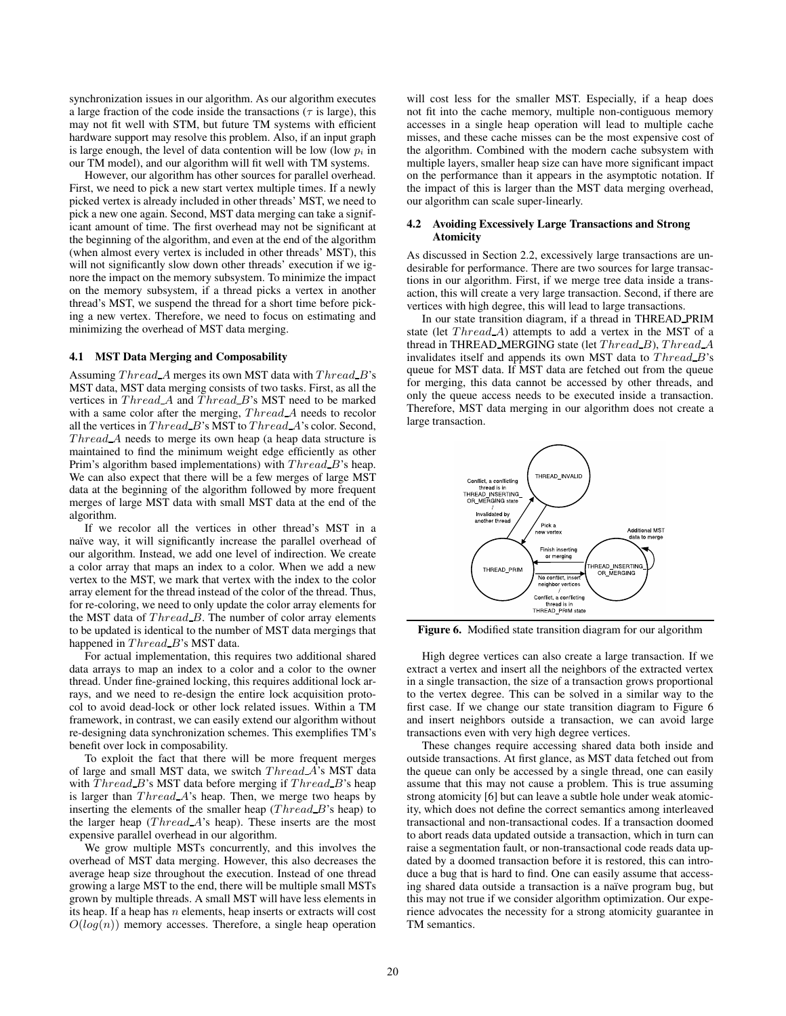synchronization issues in our algorithm. As our algorithm executes a large fraction of the code inside the transactions ( $\tau$  is large), this may not fit well with STM, but future TM systems with efficient hardware support may resolve this problem. Also, if an input graph is large enough, the level of data contention will be low (low  $p_i$  in our TM model), and our algorithm will fit well with TM systems.

However, our algorithm has other sources for parallel overhead. First, we need to pick a new start vertex multiple times. If a newly picked vertex is already included in other threads' MST, we need to pick a new one again. Second, MST data merging can take a significant amount of time. The first overhead may not be significant at the beginning of the algorithm, and even at the end of the algorithm (when almost every vertex is included in other threads' MST), this will not significantly slow down other threads' execution if we ignore the impact on the memory subsystem. To minimize the impact on the memory subsystem, if a thread picks a vertex in another thread's MST, we suspend the thread for a short time before picking a new vertex. Therefore, we need to focus on estimating and minimizing the overhead of MST data merging.

#### **4.1 MST Data Merging and Composability**

Assuming  $Thread\_A$  merges its own MST data with  $Thread\_B$ 's MST data, MST data merging consists of two tasks. First, as all the vertices in  $Thread\_A$  and  $Thread\_B$ 's MST need to be marked with a same color after the merging, Thread A needs to recolor all the vertices in  $Thread_B$ 's MST to  $Thread_A$ 's color. Second,  $Thread$  A needs to merge its own heap (a heap data structure is maintained to find the minimum weight edge efficiently as other Prim's algorithm based implementations) with  $Thread_B$ 's heap. We can also expect that there will be a few merges of large MST data at the beginning of the algorithm followed by more frequent merges of large MST data with small MST data at the end of the algorithm.

If we recolor all the vertices in other thread's MST in a naïve way, it will significantly increase the parallel overhead of our algorithm. Instead, we add one level of indirection. We create a color array that maps an index to a color. When we add a new vertex to the MST, we mark that vertex with the index to the color array element for the thread instead of the color of the thread. Thus, for re-coloring, we need to only update the color array elements for the MST data of  $Thread\_B$ . The number of color array elements to be updated is identical to the number of MST data mergings that happened in Thread B's MST data.

For actual implementation, this requires two additional shared data arrays to map an index to a color and a color to the owner thread. Under fine-grained locking, this requires additional lock arrays, and we need to re-design the entire lock acquisition protocol to avoid dead-lock or other lock related issues. Within a TM framework, in contrast, we can easily extend our algorithm without re-designing data synchronization schemes. This exemplifies TM's benefit over lock in composability.

To exploit the fact that there will be more frequent merges of large and small MST data, we switch *Thread A*'s MST data with  $Thread_B$ 's MST data before merging if  $Thread_B$ 's heap is larger than  $Thread\_A$ 's heap. Then, we merge two heaps by inserting the elements of the smaller heap  $(Thread_B$ 's heap) to the larger heap  $(Thread A's heap)$ . These inserts are the most expensive parallel overhead in our algorithm.

We grow multiple MSTs concurrently, and this involves the overhead of MST data merging. However, this also decreases the average heap size throughout the execution. Instead of one thread growing a large MST to the end, there will be multiple small MSTs grown by multiple threads. A small MST will have less elements in its heap. If a heap has  $n$  elements, heap inserts or extracts will cost  $O(log(n))$  memory accesses. Therefore, a single heap operation

will cost less for the smaller MST. Especially, if a heap does not fit into the cache memory, multiple non-contiguous memory accesses in a single heap operation will lead to multiple cache misses, and these cache misses can be the most expensive cost of the algorithm. Combined with the modern cache subsystem with multiple layers, smaller heap size can have more significant impact on the performance than it appears in the asymptotic notation. If the impact of this is larger than the MST data merging overhead, our algorithm can scale super-linearly.

## **4.2 Avoiding Excessively Large Transactions and Strong Atomicity**

As discussed in Section 2.2, excessively large transactions are undesirable for performance. There are two sources for large transactions in our algorithm. First, if we merge tree data inside a transaction, this will create a very large transaction. Second, if there are vertices with high degree, this will lead to large transactions.

In our state transition diagram, if a thread in THREAD PRIM state (let  $Thread\_A$ ) attempts to add a vertex in the MST of a thread in THREAD MERGING state (let Thread B), Thread A invalidates itself and appends its own MST data to  $Thread_B$ 's queue for MST data. If MST data are fetched out from the queue for merging, this data cannot be accessed by other threads, and only the queue access needs to be executed inside a transaction. Therefore, MST data merging in our algorithm does not create a large transaction.



**Figure 6.** Modified state transition diagram for our algorithm

High degree vertices can also create a large transaction. If we extract a vertex and insert all the neighbors of the extracted vertex in a single transaction, the size of a transaction grows proportional to the vertex degree. This can be solved in a similar way to the first case. If we change our state transition diagram to Figure 6 and insert neighbors outside a transaction, we can avoid large transactions even with very high degree vertices.

These changes require accessing shared data both inside and outside transactions. At first glance, as MST data fetched out from the queue can only be accessed by a single thread, one can easily assume that this may not cause a problem. This is true assuming strong atomicity [6] but can leave a subtle hole under weak atomicity, which does not define the correct semantics among interleaved transactional and non-transactional codes. If a transaction doomed to abort reads data updated outside a transaction, which in turn can raise a segmentation fault, or non-transactional code reads data updated by a doomed transaction before it is restored, this can introduce a bug that is hard to find. One can easily assume that accessing shared data outside a transaction is a naïve program bug, but this may not true if we consider algorithm optimization. Our experience advocates the necessity for a strong atomicity guarantee in TM semantics.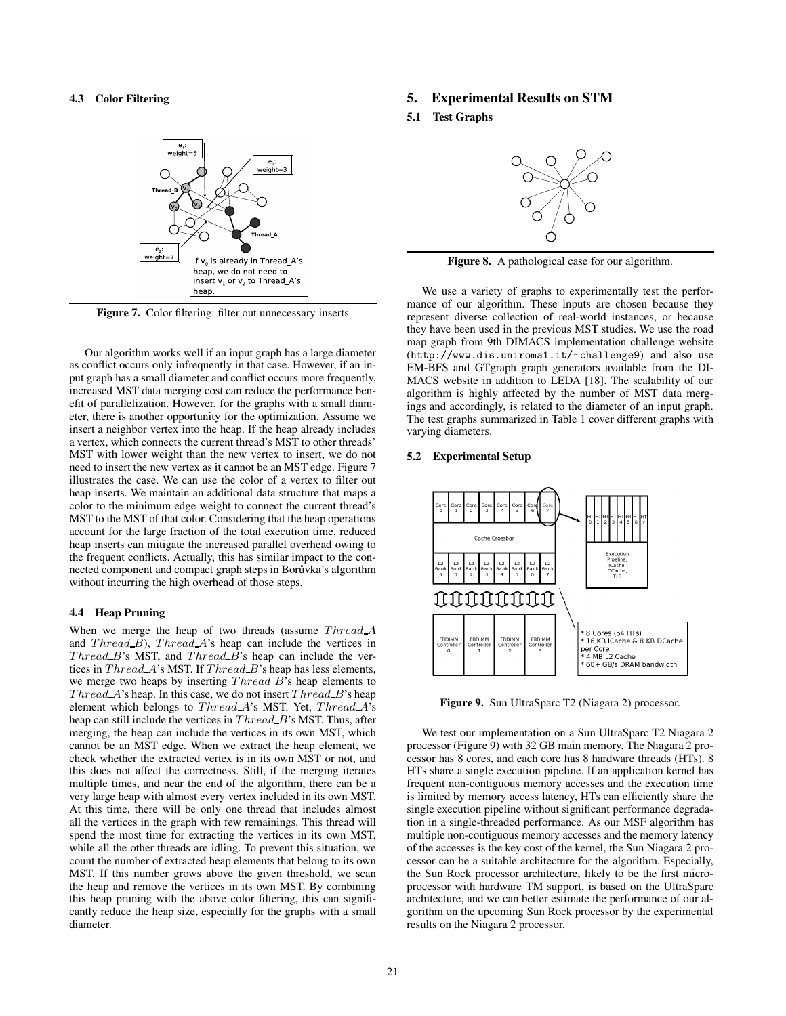# **4.3 Color Filtering**



Figure 7. Color filtering: filter out unnecessary inserts

Our algorithm works well if an input graph has a large diameter as conflict occurs only infrequently in that case. However, if an input graph has a small diameter and conflict occurs more frequently, increased MST data merging cost can reduce the performance benefit of parallelization. However, for the graphs with a small diameter, there is another opportunity for the optimization. Assume we insert a neighbor vertex into the heap. If the heap already includes a vertex, which connects the current thread's MST to other threads' MST with lower weight than the new vertex to insert, we do not need to insert the new vertex as it cannot be an MST edge. Figure 7 illustrates the case. We can use the color of a vertex to filter out heap inserts. We maintain an additional data structure that maps a color to the minimum edge weight to connect the current thread's MST to the MST of that color. Considering that the heap operations account for the large fraction of the total execution time, reduced heap inserts can mitigate the increased parallel overhead owing to the frequent conflicts. Actually, this has similar impact to the connected component and compact graph steps in Borůvka's algorithm without incurring the high overhead of those steps.

#### **4.4 Heap Pruning**

When we merge the heap of two threads (assume  $Thread\_A$ and  $Thread_B$ ,  $Thread_A$ 's heap can include the vertices in  $Thread_B$ 's MST, and  $Thread_B$ 's heap can include the vertices in Thread A's MST. If Thread B's heap has less elements, we merge two heaps by inserting Thread B's heap elements to  $Thread\_A$ 's heap. In this case, we do not insert  $Thread\_B$ 's heap element which belongs to Thread A's MST. Yet, Thread A's heap can still include the vertices in  $Thread_B$ 's MST. Thus, after merging, the heap can include the vertices in its own MST, which cannot be an MST edge. When we extract the heap element, we check whether the extracted vertex is in its own MST or not, and this does not affect the correctness. Still, if the merging iterates multiple times, and near the end of the algorithm, there can be a very large heap with almost every vertex included in its own MST. At this time, there will be only one thread that includes almost all the vertices in the graph with few remainings. This thread will spend the most time for extracting the vertices in its own MST, while all the other threads are idling. To prevent this situation, we count the number of extracted heap elements that belong to its own MST. If this number grows above the given threshold, we scan the heap and remove the vertices in its own MST. By combining this heap pruning with the above color filtering, this can significantly reduce the heap size, especially for the graphs with a small diameter.

# **5. Experimental Results on STM**

**5.1 Test Graphs**



**Figure 8.** A pathological case for our algorithm.

We use a variety of graphs to experimentally test the performance of our algorithm. These inputs are chosen because they represent diverse collection of real-world instances, or because they have been used in the previous MST studies. We use the road map graph from 9th DIMACS implementation challenge website (http://www.dis.uniroma1.it/~challenge9) and also use EM-BFS and GTgraph graph generators available from the DI-MACS website in addition to LEDA [18]. The scalability of our algorithm is highly affected by the number of MST data mergings and accordingly, is related to the diameter of an input graph. The test graphs summarized in Table 1 cover different graphs with varying diameters.

#### **5.2 Experimental Setup**



**Figure 9.** Sun UltraSparc T2 (Niagara 2) processor.

We test our implementation on a Sun UltraSparc T2 Niagara 2 processor (Figure 9) with 32 GB main memory. The Niagara 2 processor has 8 cores, and each core has 8 hardware threads (HTs). 8 HTs share a single execution pipeline. If an application kernel has frequent non-contiguous memory accesses and the execution time is limited by memory access latency, HTs can efficiently share the single execution pipeline without significant performance degradation in a single-threaded performance. As our MSF algorithm has multiple non-contiguous memory accesses and the memory latency of the accesses is the key cost of the kernel, the Sun Niagara 2 processor can be a suitable architecture for the algorithm. Especially, the Sun Rock processor architecture, likely to be the first microprocessor with hardware TM support, is based on the UltraSparc architecture, and we can better estimate the performance of our algorithm on the upcoming Sun Rock processor by the experimental results on the Niagara 2 processor.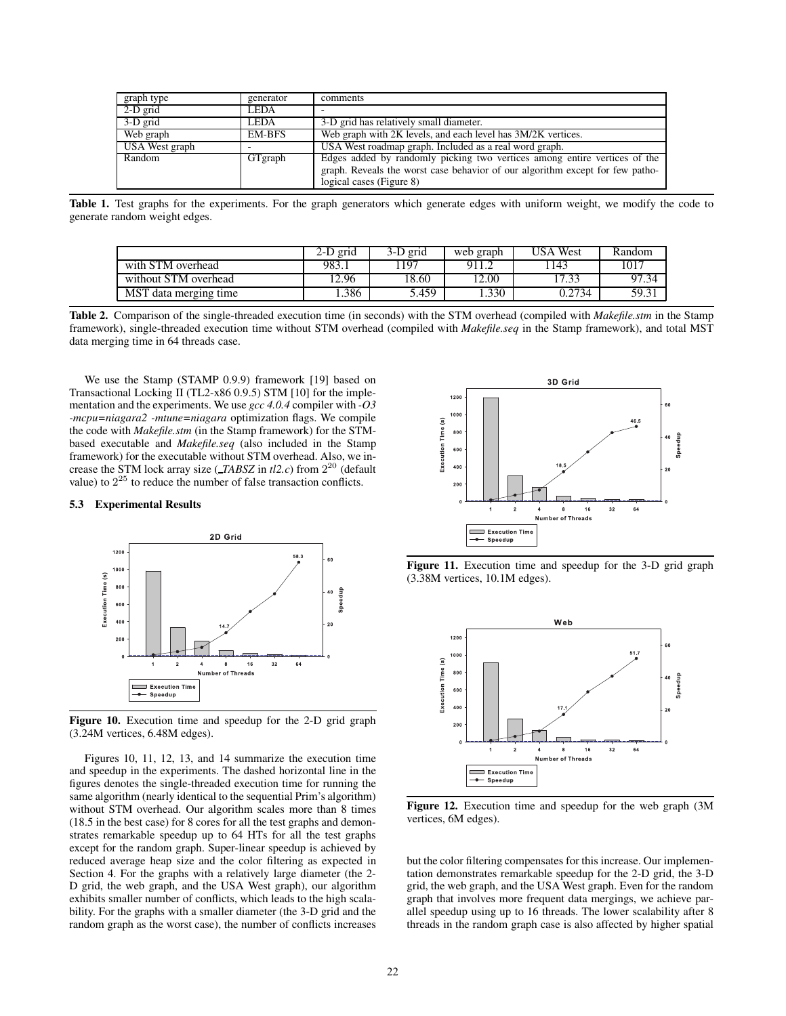| graph type     | generator   | comments                                                                                                                                                                               |
|----------------|-------------|----------------------------------------------------------------------------------------------------------------------------------------------------------------------------------------|
| 2-D grid       | <b>LEDA</b> |                                                                                                                                                                                        |
| 3-D grid       | <b>LEDA</b> | 3-D grid has relatively small diameter.                                                                                                                                                |
| Web graph      | EM-BFS      | Web graph with 2K levels, and each level has $3M/2K$ vertices.                                                                                                                         |
| USA West graph |             | USA West roadmap graph. Included as a real word graph.                                                                                                                                 |
| Random         | GTgraph     | Edges added by randomly picking two vertices among entire vertices of the<br>graph. Reveals the worst case behavior of our algorithm except for few patho-<br>logical cases (Figure 8) |

Table 1. Test graphs for the experiments. For the graph generators which generate edges with uniform weight, we modify the code to generate random weight edges.

|                       | 2-D grid | 3-D grid | web graph | USA West | Random |
|-----------------------|----------|----------|-----------|----------|--------|
| with STM overhead     | 983.1    | 197      | 911.2     | 143      | 1017   |
| without STM overhead  | 2.96     | 18.60    | 12.00     | 17.33    |        |
| MST data merging time | .386     | 5.459    | .330      | 0.2734   | 59.31  |

**Table 2.** Comparison of the single-threaded execution time (in seconds) with the STM overhead (compiled with *Makefile.stm* in the Stamp framework), single-threaded execution time without STM overhead (compiled with *Makefile.seq* in the Stamp framework), and total MST data merging time in 64 threads case.

We use the Stamp (STAMP 0.9.9) framework [19] based on Transactional Locking II (TL2-x86 0.9.5) STM [10] for the implementation and the experiments. We use *gcc 4.0.4* compiler with *-O3 -mcpu=niagara2 -mtune=niagara* optimization flags. We compile the code with *Makefile.stm* (in the Stamp framework) for the STMbased executable and *Makefile.seq* (also included in the Stamp framework) for the executable without STM overhead. Also, we increase the STM lock array size (*TABSZ* in *tl2.c*) from  $2^{20}$  (default value) to  $2^{25}$  to reduce the number of false transaction conflicts.

## **5.3 Experimental Results**



**Figure 10.** Execution time and speedup for the 2-D grid graph (3.24M vertices, 6.48M edges).

Figures 10, 11, 12, 13, and 14 summarize the execution time and speedup in the experiments. The dashed horizontal line in the figures denotes the single-threaded execution time for running the same algorithm (nearly identical to the sequential Prim's algorithm) without STM overhead. Our algorithm scales more than 8 times (18.5 in the best case) for 8 cores for all the test graphs and demonstrates remarkable speedup up to 64 HTs for all the test graphs except for the random graph. Super-linear speedup is achieved by reduced average heap size and the color filtering as expected in Section 4. For the graphs with a relatively large diameter (the 2- D grid, the web graph, and the USA West graph), our algorithm exhibits smaller number of conflicts, which leads to the high scalability. For the graphs with a smaller diameter (the 3-D grid and the random graph as the worst case), the number of conflicts increases



**Figure 11.** Execution time and speedup for the 3-D grid graph (3.38M vertices, 10.1M edges).



**Figure 12.** Execution time and speedup for the web graph (3M vertices, 6M edges).

but the color filtering compensates for this increase. Our implementation demonstrates remarkable speedup for the 2-D grid, the 3-D grid, the web graph, and the USA West graph. Even for the random graph that involves more frequent data mergings, we achieve parallel speedup using up to 16 threads. The lower scalability after 8 threads in the random graph case is also affected by higher spatial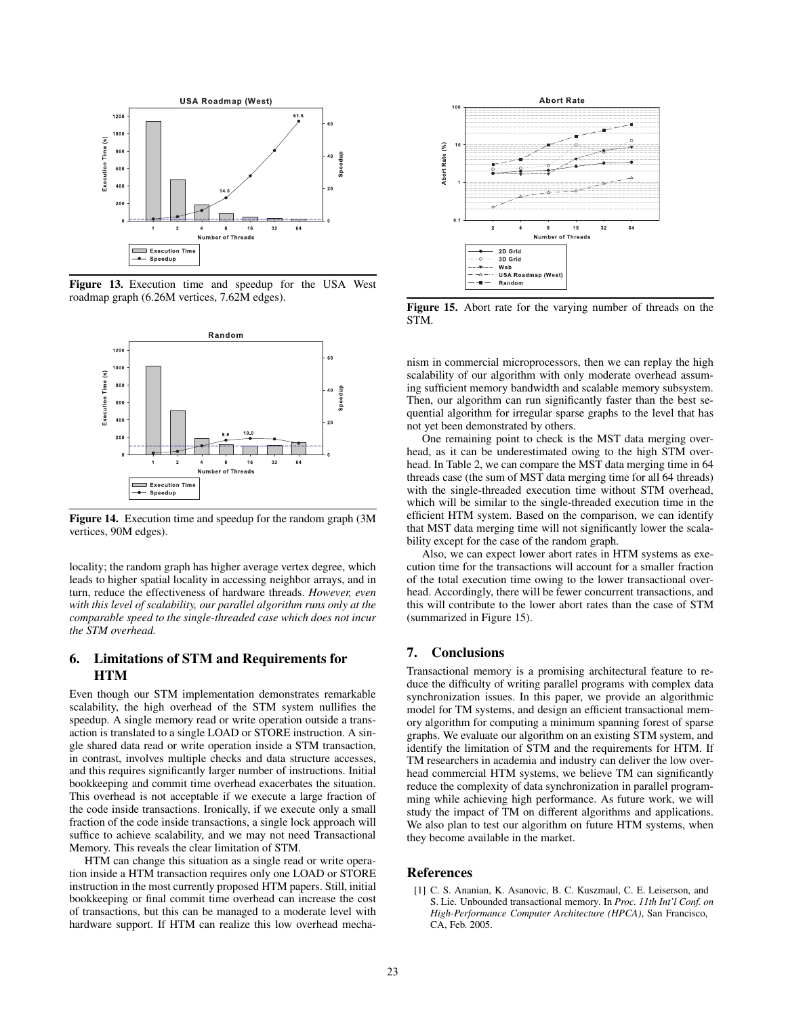

**Figure 13.** Execution time and speedup for the USA West roadmap graph (6.26M vertices, 7.62M edges).



**Figure 14.** Execution time and speedup for the random graph (3M vertices, 90M edges).

locality; the random graph has higher average vertex degree, which leads to higher spatial locality in accessing neighbor arrays, and in turn, reduce the effectiveness of hardware threads. *However, even with this level of scalability, our parallel algorithm runs only at the comparable speed to the single-threaded case which does not incur the STM overhead.*

# **6. Limitations of STM and Requirements for HTM**

Even though our STM implementation demonstrates remarkable scalability, the high overhead of the STM system nullifies the speedup. A single memory read or write operation outside a transaction is translated to a single LOAD or STORE instruction. A single shared data read or write operation inside a STM transaction, in contrast, involves multiple checks and data structure accesses, and this requires significantly larger number of instructions. Initial bookkeeping and commit time overhead exacerbates the situation. This overhead is not acceptable if we execute a large fraction of the code inside transactions. Ironically, if we execute only a small fraction of the code inside transactions, a single lock approach will suffice to achieve scalability, and we may not need Transactional Memory. This reveals the clear limitation of STM.

HTM can change this situation as a single read or write operation inside a HTM transaction requires only one LOAD or STORE instruction in the most currently proposed HTM papers. Still, initial bookkeeping or final commit time overhead can increase the cost of transactions, but this can be managed to a moderate level with hardware support. If HTM can realize this low overhead mecha-



**Figure 15.** Abort rate for the varying number of threads on the STM.

nism in commercial microprocessors, then we can replay the high scalability of our algorithm with only moderate overhead assuming sufficient memory bandwidth and scalable memory subsystem. Then, our algorithm can run significantly faster than the best sequential algorithm for irregular sparse graphs to the level that has not yet been demonstrated by others.

One remaining point to check is the MST data merging overhead, as it can be underestimated owing to the high STM overhead. In Table 2, we can compare the MST data merging time in 64 threads case (the sum of MST data merging time for all 64 threads) with the single-threaded execution time without STM overhead, which will be similar to the single-threaded execution time in the efficient HTM system. Based on the comparison, we can identify that MST data merging time will not significantly lower the scalability except for the case of the random graph.

Also, we can expect lower abort rates in HTM systems as execution time for the transactions will account for a smaller fraction of the total execution time owing to the lower transactional overhead. Accordingly, there will be fewer concurrent transactions, and this will contribute to the lower abort rates than the case of STM (summarized in Figure 15).

## **7. Conclusions**

Transactional memory is a promising architectural feature to reduce the difficulty of writing parallel programs with complex data synchronization issues. In this paper, we provide an algorithmic model for TM systems, and design an efficient transactional memory algorithm for computing a minimum spanning forest of sparse graphs. We evaluate our algorithm on an existing STM system, and identify the limitation of STM and the requirements for HTM. If TM researchers in academia and industry can deliver the low overhead commercial HTM systems, we believe TM can significantly reduce the complexity of data synchronization in parallel programming while achieving high performance. As future work, we will study the impact of TM on different algorithms and applications. We also plan to test our algorithm on future HTM systems, when they become available in the market.

## **References**

[1] C. S. Ananian, K. Asanovic, B. C. Kuszmaul, C. E. Leiserson, and S. Lie. Unbounded transactional memory. In *Proc. 11th Int'l Conf. on High-Performance Computer Architecture (HPCA)*, San Francisco, CA, Feb. 2005.